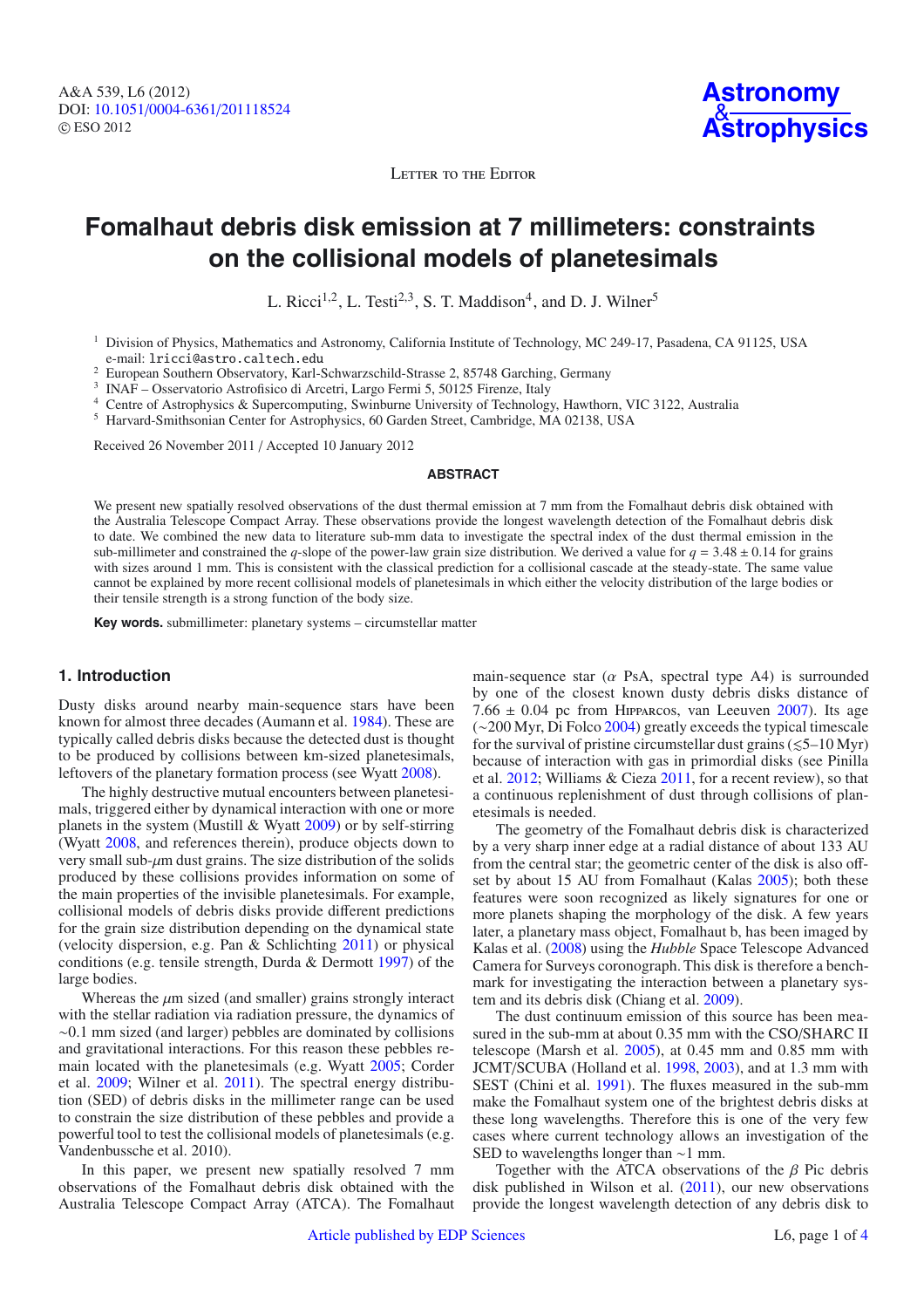LETTER TO THE EDITOR

# **Fomalhaut debris disk emission at 7 millimeters: constraints on the collisional models of planetesimals**

L. Ricci<sup>1,2</sup>, L. Testi<sup>2,3</sup>, S. T. Maddison<sup>4</sup>, and D. J. Wilner<sup>5</sup>

<sup>1</sup> Division of Physics, Mathematics and Astronomy, California Institute of Technology, MC 249-17, Pasadena, CA 91125, USA e-mail: lricci@astro.caltech.edu

<sup>2</sup> European Southern Observatory, Karl-Schwarzschild-Strasse 2, 85748 Garching, Germany

<sup>3</sup> INAF – Osservatorio Astrofisico di Arcetri, Largo Fermi 5, 50125 Firenze, Italy

<sup>4</sup> Centre of Astrophysics & Supercomputing, Swinburne University of Technology, Hawthorn, VIC 3122, Australia

<sup>5</sup> Harvard-Smithsonian Center for Astrophysics, 60 Garden Street, Cambridge, MA 02138, USA

Received 26 November 2011 / Accepted 10 January 2012

#### **ABSTRACT**

We present new spatially resolved observations of the dust thermal emission at 7 mm from the Fomalhaut debris disk obtained with the Australia Telescope Compact Array. These observations provide the longest wavelength detection of the Fomalhaut debris disk to date. We combined the new data to literature sub-mm data to investigate the spectral index of the dust thermal emission in the sub-millimeter and constrained the *q*-slope of the power-law grain size distribution. We derived a value for  $q = 3.48 \pm 0.14$  for grains with sizes around 1 mm. This is consistent with the classical prediction for a collisional cascade at the steady-state. The same value cannot be explained by more recent collisional models of planetesimals in which either the velocity distribution of the large bodies or their tensile strength is a strong function of the body size.

**Key words.** submillimeter: planetary systems – circumstellar matter

## **1. Introduction**

Dusty disks around nearby main-sequence stars have been known for almost three decades (Aumann et al. [1984\)](#page-3-0). These are typically called debris disks because the detected dust is thought to be produced by collisions between km-sized planetesimals, leftovers of the planetary formation process (see Wyatt [2008\)](#page-3-1).

The highly destructive mutual encounters between planetesimals, triggered either by dynamical interaction with one or more planets in the system (Mustill & Wyatt [2009\)](#page-3-2) or by self-stirring (Wyatt [2008,](#page-3-1) and references therein), produce objects down to very small sub-μm dust grains. The size distribution of the solids produced by these collisions provides information on some of the main properties of the invisible planetesimals. For example, collisional models of debris disks provide different predictions for the grain size distribution depending on the dynamical state (velocity dispersion, e.g. Pan & Schlichting [2011\)](#page-3-3) or physical conditions (e.g. tensile strength, Durda & Dermott [1997\)](#page-3-4) of the large bodies.

Whereas the *u*m sized (and smaller) grains strongly interact with the stellar radiation via radiation pressure, the dynamics of ∼0.1 mm sized (and larger) pebbles are dominated by collisions and gravitational interactions. For this reason these pebbles remain located with the planetesimals (e.g. Wyatt [2005;](#page-3-5) Corder et al. [2009;](#page-3-6) Wilner et al. [2011\)](#page-3-7). The spectral energy distribution (SED) of debris disks in the millimeter range can be used to constrain the size distribution of these pebbles and provide a powerful tool to test the collisional models of planetesimals (e.g. Vandenbussche et al. 2010).

In this paper, we present new spatially resolved 7 mm observations of the Fomalhaut debris disk obtained with the Australia Telescope Compact Array (ATCA). The Fomalhaut main-sequence star ( $\alpha$  PsA, spectral type A4) is surrounded by one of the closest known dusty debris disks distance of 7.66  $\pm$  0.04 pc from HIPPARCOS, van Leeuven [2007\)](#page-3-8). Its age (∼200 Myr, Di Folco [2004\)](#page-3-9) greatly exceeds the typical timescale for the survival of pristine circumstellar dust grains  $(\leq 5-10 \text{ Myr})$ because of interaction with gas in primordial disks (see Pinilla et al. [2012;](#page-3-10) Williams & Cieza [2011,](#page-3-7) for a recent review), so that a continuous replenishment of dust through collisions of planetesimals is needed.

The geometry of the Fomalhaut debris disk is characterized by a very sharp inner edge at a radial distance of about 133 AU from the central star; the geometric center of the disk is also offset by about 15 AU from Fomalhaut (Kalas [2005\)](#page-3-11); both these features were soon recognized as likely signatures for one or more planets shaping the morphology of the disk. A few years later, a planetary mass object, Fomalhaut b, has been imaged by Kalas et al. [\(2008\)](#page-3-12) using the *Hubble* Space Telescope Advanced Camera for Surveys coronograph. This disk is therefore a benchmark for investigating the interaction between a planetary system and its debris disk (Chiang et al. [2009\)](#page-3-13).

The dust continuum emission of this source has been measured in the sub-mm at about 0.35 mm with the CSO/SHARC II telescope (Marsh et al. [2005\)](#page-3-14), at 0.45 mm and 0.85 mm with JCMT/SCUBA (Holland et al. [1998,](#page-3-15) [2003\)](#page-3-16), and at 1.3 mm with SEST (Chini et al. [1991\)](#page-3-17). The fluxes measured in the sub-mm make the Fomalhaut system one of the brightest debris disks at these long wavelengths. Therefore this is one of the very few cases where current technology allows an investigation of the SED to wavelengths longer than ∼1 mm.

Together with the ATCA observations of the  $\beta$  Pic debris disk published in Wilson et al. [\(2011\)](#page-3-7), our new observations provide the longest wavelength detection of any debris disk to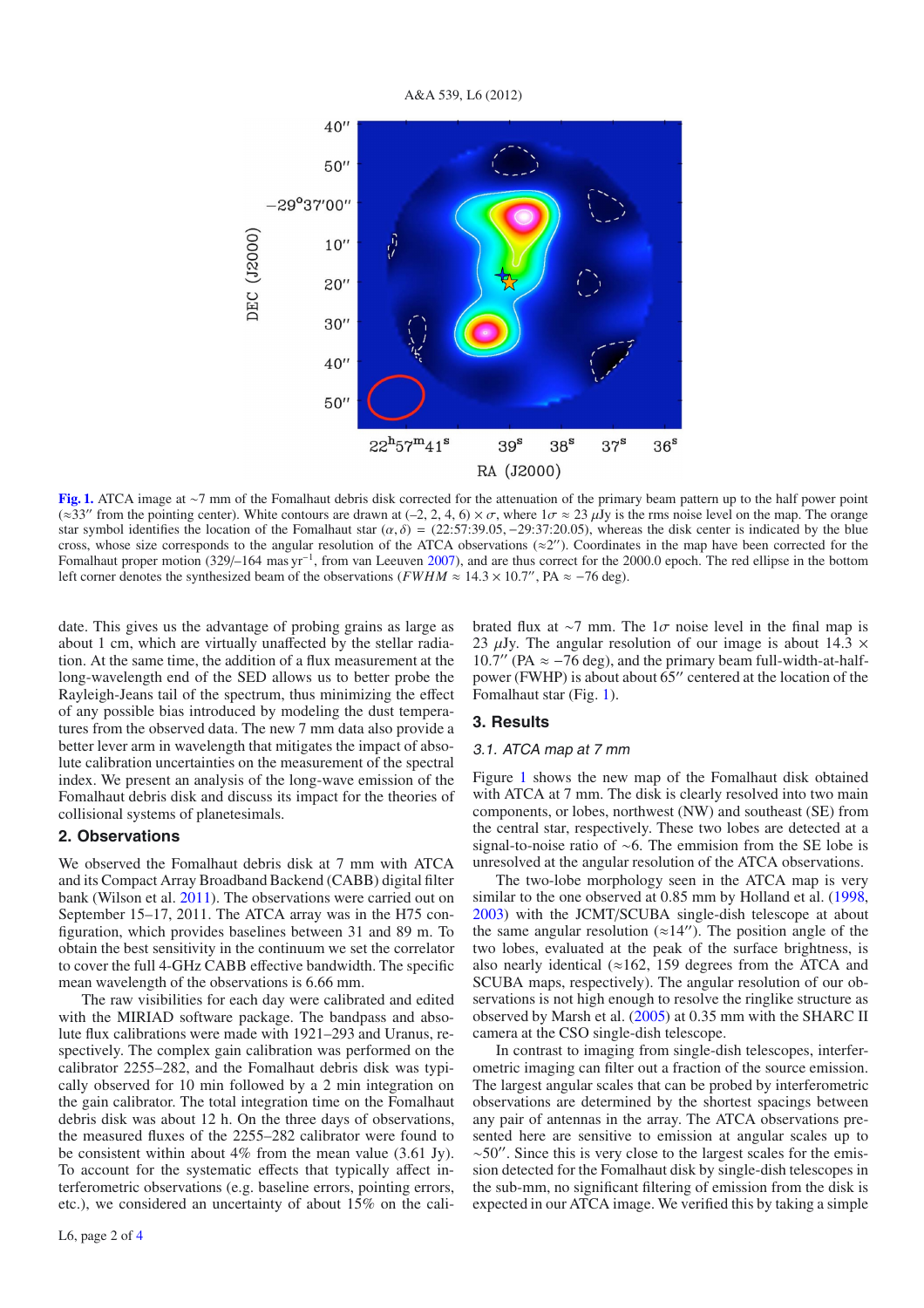A&A 539, L6 (2012)



<span id="page-1-0"></span>**[Fig. 1.](http://dexter.edpsciences.org/applet.php?DOI=10.1051/0004-6361/201118524&pdf_id=1)** ATCA image at ∼7 mm of the Fomalhaut debris disk corrected for the attenuation of the primary beam pattern up to the half power point (≈33" from the pointing center). White contours are drawn at (-2, 2, 4, 6) ×  $\sigma$ , where  $1\sigma \approx 23 \mu$ Jy is the rms noise level on the map. The orange star symbol identifies the location of the Fomalhaut star  $(\alpha, \delta) = (22.57.39.05, -29.37.20.05)$ , whereas the disk center is indicated by the blue cross, whose size corresponds to the angular resolution of the ATCA observations ( $\approx$ 2"). Coordinates in the map have been corrected for the Fomalhaut proper motion (329/–164 mas yr−1, from van Leeuven [2007\)](#page-3-8), and are thus correct for the 2000.0 epoch. The red ellipse in the bottom left corner denotes the synthesized beam of the observations ( $FWHM \approx 14.3 \times 10.7$ ", PA  $\approx -76$  deg).

date. This gives us the advantage of probing grains as large as about 1 cm, which are virtually unaffected by the stellar radiation. At the same time, the addition of a flux measurement at the long-wavelength end of the SED allows us to better probe the Rayleigh-Jeans tail of the spectrum, thus minimizing the effect of any possible bias introduced by modeling the dust temperatures from the observed data. The new 7 mm data also provide a better lever arm in wavelength that mitigates the impact of absolute calibration uncertainties on the measurement of the spectral index. We present an analysis of the long-wave emission of the Fomalhaut debris disk and discuss its impact for the theories of collisional systems of planetesimals.

# **2. Observations**

We observed the Fomalhaut debris disk at 7 mm with ATCA and its Compact Array Broadband Backend (CABB) digital filter bank (Wilson et al. [2011\)](#page-3-19). The observations were carried out on September 15–17, 2011. The ATCA array was in the H75 configuration, which provides baselines between 31 and 89 m. To obtain the best sensitivity in the continuum we set the correlator to cover the full 4-GHz CABB effective bandwidth. The specific mean wavelength of the observations is 6.66 mm.

The raw visibilities for each day were calibrated and edited with the MIRIAD software package. The bandpass and absolute flux calibrations were made with 1921–293 and Uranus, respectively. The complex gain calibration was performed on the calibrator 2255–282, and the Fomalhaut debris disk was typically observed for 10 min followed by a 2 min integration on the gain calibrator. The total integration time on the Fomalhaut debris disk was about 12 h. On the three days of observations, the measured fluxes of the 2255–282 calibrator were found to be consistent within about 4% from the mean value (3.61 Jy). To account for the systematic effects that typically affect interferometric observations (e.g. baseline errors, pointing errors, etc.), we considered an uncertainty of about 15% on the calibrated flux at ∼7 mm. The  $1\sigma$  noise level in the final map is 23  $\mu$ Jy. The angular resolution of our image is about 14.3  $\times$  $10.7''$  (PA  $\approx -76$  deg), and the primary beam full-width-at-halfpower (FWHP) is about about  $65$ " centered at the location of the Fomalhaut star (Fig. [1\)](#page-1-0).

#### **3. Results**

#### 3.1. ATCA map at 7 mm

Figure [1](#page-1-0) shows the new map of the Fomalhaut disk obtained with ATCA at 7 mm. The disk is clearly resolved into two main components, or lobes, northwest (NW) and southeast (SE) from the central star, respectively. These two lobes are detected at a signal-to-noise ratio of ∼6. The emmision from the SE lobe is unresolved at the angular resolution of the ATCA observations.

The two-lobe morphology seen in the ATCA map is very similar to the one observed at 0.85 mm by Holland et al. [\(1998,](#page-3-15) [2003\)](#page-3-16) with the JCMT/SCUBA single-dish telescope at about the same angular resolution ( $\approx$ 14"). The position angle of the two lobes, evaluated at the peak of the surface brightness, is also nearly identical ( $\approx$ 162, 159 degrees from the ATCA and SCUBA maps, respectively). The angular resolution of our observations is not high enough to resolve the ringlike structure as observed by Marsh et al. [\(2005\)](#page-3-14) at 0.35 mm with the SHARC II camera at the CSO single-dish telescope.

In contrast to imaging from single-dish telescopes, interferometric imaging can filter out a fraction of the source emission. The largest angular scales that can be probed by interferometric observations are determined by the shortest spacings between any pair of antennas in the array. The ATCA observations presented here are sensitive to emission at angular scales up to  $~\sim$ 50". Since this is very close to the largest scales for the emission detected for the Fomalhaut disk by single-dish telescopes in the sub-mm, no significant filtering of emission from the disk is expected in our ATCA image. We verified this by taking a simple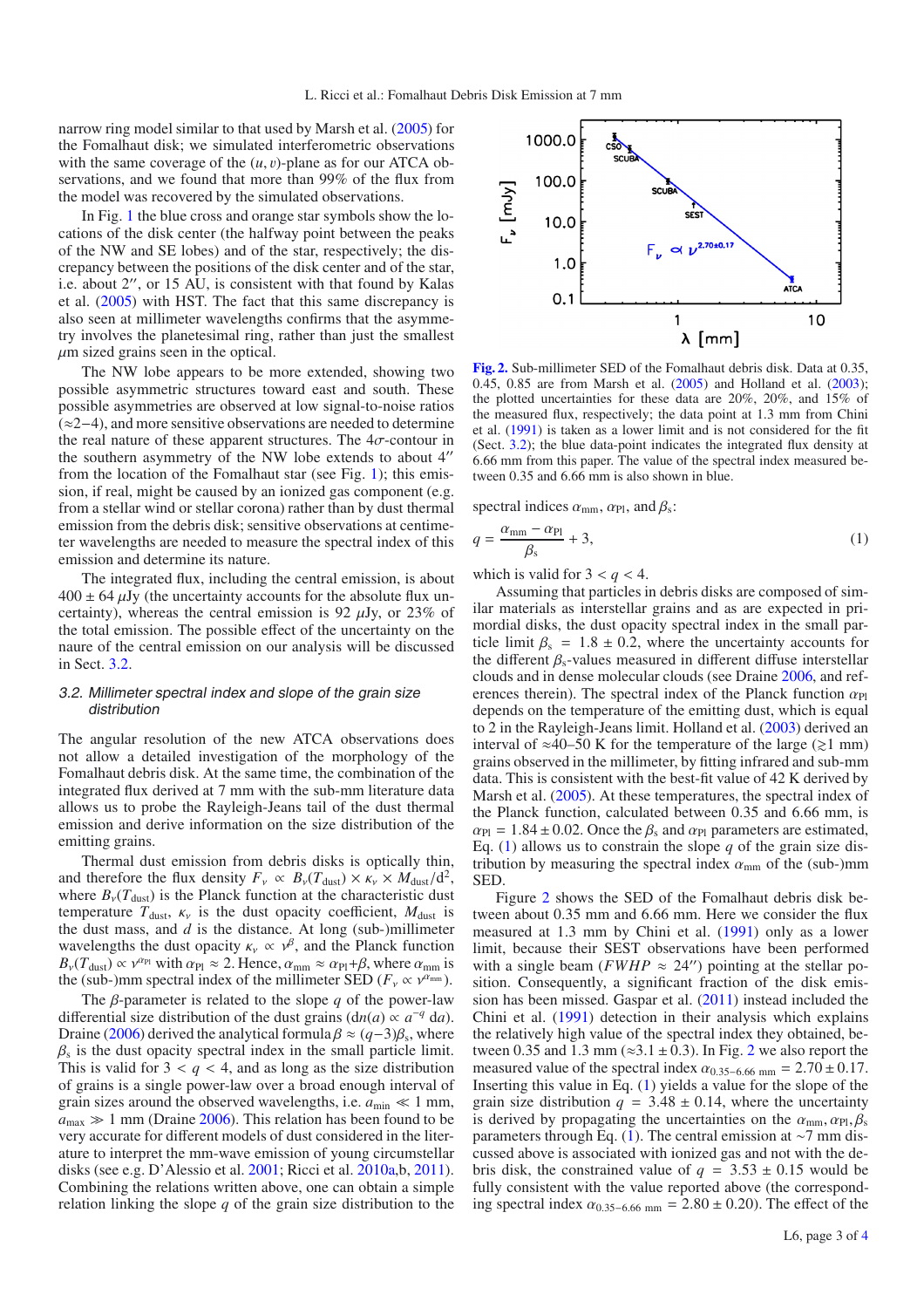narrow ring model similar to that used by Marsh et al. [\(2005\)](#page-3-14) for the Fomalhaut disk; we simulated interferometric observations with the same coverage of the  $(u, v)$ -plane as for our ATCA observations, and we found that more than 99% of the flux from the model was recovered by the simulated observations.

In Fig. [1](#page-1-0) the blue cross and orange star symbols show the locations of the disk center (the halfway point between the peaks of the NW and SE lobes) and of the star, respectively; the discrepancy between the positions of the disk center and of the star, i.e. about 2", or 15 AU, is consistent with that found by Kalas et al. [\(2005\)](#page-3-11) with HST. The fact that this same discrepancy is also seen at millimeter wavelengths confirms that the asymmetry involves the planetesimal ring, rather than just the smallest  $\mu$ m sized grains seen in the optical.

The NW lobe appears to be more extended, showing two possible asymmetric structures toward east and south. These possible asymmetries are observed at low signal-to-noise ratios (≈2−4), and more sensitive observations are needed to determine the real nature of these apparent structures. The  $4\sigma$ -contour in the southern asymmetry of the NW lobe extends to about 4 from the location of the Fomalhaut star (see Fig. [1\)](#page-1-0); this emission, if real, might be caused by an ionized gas component (e.g. from a stellar wind or stellar corona) rather than by dust thermal emission from the debris disk; sensitive observations at centimeter wavelengths are needed to measure the spectral index of this emission and determine its nature.

The integrated flux, including the central emission, is about  $400 \pm 64 \,\mu\text{Jy}$  (the uncertainty accounts for the absolute flux uncertainty), whereas the central emission is 92  $\mu$ Jy, or 23% of the total emission. The possible effect of the uncertainty on the naure of the central emission on our analysis will be discussed in Sect. [3.2.](#page-2-0)

# <span id="page-2-0"></span>3.2. Millimeter spectral index and slope of the grain size distribution

The angular resolution of the new ATCA observations does not allow a detailed investigation of the morphology of the Fomalhaut debris disk. At the same time, the combination of the integrated flux derived at 7 mm with the sub-mm literature data allows us to probe the Rayleigh-Jeans tail of the dust thermal emission and derive information on the size distribution of the emitting grains.

Thermal dust emission from debris disks is optically thin, and therefore the flux density  $F_v \propto B_v(T_{\text{dust}}) \times \kappa_v \times M_{\text{dust}}/d^2$ , where  $B_v(T_{\text{dust}})$  is the Planck function at the characteristic dust temperature  $T_{\text{dust}}$ ,  $\kappa_{\nu}$  is the dust opacity coefficient,  $M_{\text{dust}}$  is the dust mass, and *d* is the distance. At long (sub-)millimeter wavelengths the dust opacity  $\kappa_v \propto v^{\beta}$ , and the Planck function  $B_{\nu}(T_{\text{dust}}) \propto \nu^{\alpha_{\text{Pl}}}$  with  $\alpha_{\text{Pl}} \approx 2$ . Hence,  $\alpha_{\text{mm}} \approx \alpha_{\text{Pl}} + \beta$ , where  $\alpha_{\text{mm}}$  is the (sub-)mm spectral index of the millimeter SED ( $F_v \propto v^{\alpha_{\text{mm}}}$ ).

The β-parameter is related to the slope *q* of the power-law differential size distribution of the dust grains  $(dn(a) \propto a^{-q} da)$ . Draine [\(2006\)](#page-3-20) derived the analytical formula  $\beta \approx (q-3)\beta_s$ , where  $\beta_s$  is the dust opacity spectral index in the small particle limit. This is valid for  $3 < q < 4$ , and as long as the size distribution of grains is a single power-law over a broad enough interval of grain sizes around the observed wavelengths, i.e.  $a_{\text{min}} \ll 1$  mm,  $a_{\text{max}} \gg 1$  mm (Draine [2006\)](#page-3-20). This relation has been found to be very accurate for different models of dust considered in the literature to interpret the mm-wave emission of young circumstellar disks (see e.g. D'Alessio et al. [2001;](#page-3-21) Ricci et al. [2010a,](#page-3-22)b, [2011\)](#page-3-23). Combining the relations written above, one can obtain a simple relation linking the slope *q* of the grain size distribution to the



<span id="page-2-2"></span>**[Fig. 2.](http://dexter.edpsciences.org/applet.php?DOI=10.1051/0004-6361/201118524&pdf_id=2)** Sub-millimeter SED of the Fomalhaut debris disk. Data at 0.35, 0.45, 0.85 are from Marsh et al. [\(2005\)](#page-3-14) and Holland et al. [\(2003\)](#page-3-16); the plotted uncertainties for these data are 20%, 20%, and 15% of the measured flux, respectively; the data point at 1.3 mm from Chini et al. [\(1991\)](#page-3-17) is taken as a lower limit and is not considered for the fit (Sect. [3.2\)](#page-2-0); the blue data-point indicates the integrated flux density at 6.66 mm from this paper. The value of the spectral index measured between 0.35 and 6.66 mm is also shown in blue.

<span id="page-2-1"></span>spectral indices  $\alpha_{mm}$ ,  $\alpha_{Pl}$ , and  $\beta_s$ :

$$
q = \frac{\alpha_{\rm mm} - \alpha_{\rm Pl}}{\beta_{\rm s}} + 3,\tag{1}
$$

which is valid for  $3 < q < 4$ .

Assuming that particles in debris disks are composed of similar materials as interstellar grains and as are expected in primordial disks, the dust opacity spectral index in the small particle limit  $\beta_s = 1.8 \pm 0.2$ , where the uncertainty accounts for the different  $\beta_s$ -values measured in different diffuse interstellar clouds and in dense molecular clouds (see Draine [2006,](#page-3-20) and references therein). The spectral index of the Planck function  $\alpha_{\text{Pl}}$ depends on the temperature of the emitting dust, which is equal to 2 in the Rayleigh-Jeans limit. Holland et al. [\(2003\)](#page-3-16) derived an interval of ≈40–50 K for the temperature of the large ( $\geq$ 1 mm) grains observed in the millimeter, by fitting infrared and sub-mm data. This is consistent with the best-fit value of 42 K derived by Marsh et al. [\(2005\)](#page-3-14). At these temperatures, the spectral index of the Planck function, calculated between 0.35 and 6.66 mm, is  $\alpha_{\text{Pl}} = 1.84 \pm 0.02$ . Once the  $\beta_s$  and  $\alpha_{\text{Pl}}$  parameters are estimated, Eq. [\(1\)](#page-2-1) allows us to constrain the slope  $q$  of the grain size distribution by measuring the spectral index  $\alpha_{mn}$  of the (sub-)mm SED.

Figure [2](#page-2-2) shows the SED of the Fomalhaut debris disk between about 0.35 mm and 6.66 mm. Here we consider the flux measured at 1.3 mm by Chini et al. [\(1991\)](#page-3-17) only as a lower limit, because their SEST observations have been performed with a single beam ( $FWHP \approx 24$ ) pointing at the stellar position. Consequently, a significant fraction of the disk emission has been missed. Gaspar et al. [\(2011\)](#page-3-24) instead included the Chini et al. [\(1991\)](#page-3-17) detection in their analysis which explains the relatively high value of the spectral index they obtained, between 0.35 and 1.3 mm ( $\approx$ 3.1 ± 0.3). In Fig. [2](#page-2-2) we also report the measured value of the spectral index  $\alpha_{0.35-6.66 \text{ mm}} = 2.70 \pm 0.17$ . Inserting this value in Eq. [\(1\)](#page-2-1) yields a value for the slope of the grain size distribution  $q = 3.48 \pm 0.14$ , where the uncertainty is derived by propagating the uncertainties on the  $\alpha_{mm}$ ,  $\alpha_{\text{Pl}}$ ,  $\beta_{\text{s}}$ parameters through Eq. [\(1\)](#page-2-1). The central emission at ∼7 mm discussed above is associated with ionized gas and not with the debris disk, the constrained value of  $q = 3.53 \pm 0.15$  would be fully consistent with the value reported above (the corresponding spectral index  $\alpha_{0.35-6.66 \text{ mm}} = 2.80 \pm 0.20$ ). The effect of the